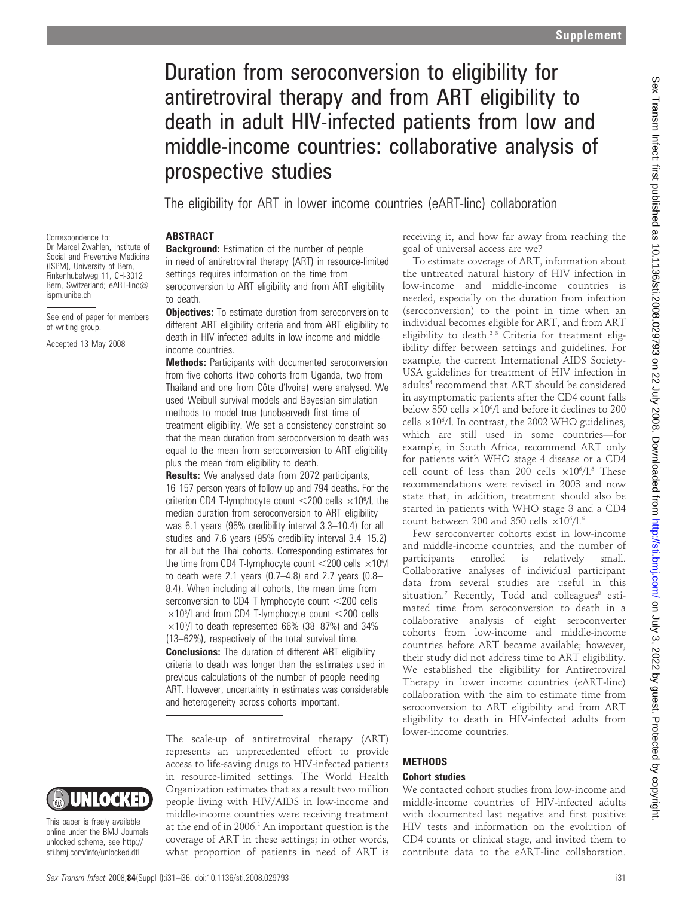# Duration from seroconversion to eligibility for antiretroviral therapy and from ART eligibility to death in adult HIV-infected patients from low and middle-income countries: collaborative analysis of prospective studies

The eligibility for ART in lower income countries (eART-linc) collaboration

## **ABSTRACT**

Correspondence to: Dr Marcel Zwahlen, Institute of Social and Preventive Medicine (ISPM), University of Bern, Finkenhubelweg 11, CH-3012 Bern, Switzerland; eART-linc@ ispm.unibe.ch

See end of paper for members of writing group.

Accepted 13 May 2008

**Background:** Estimation of the number of people in need of antiretroviral therapy (ART) in resource-limited settings requires information on the time from seroconversion to ART eligibility and from ART eligibility to death.

**Objectives:** To estimate duration from seroconversion to different ART eligibility criteria and from ART eligibility to death in HIV-infected adults in low-income and middleincome countries.

**Methods:** Participants with documented seroconversion from five cohorts (two cohorts from Uganda, two from Thailand and one from Côte d'Ivoire) were analysed. We used Weibull survival models and Bayesian simulation methods to model true (unobserved) first time of treatment eligibility. We set a consistency constraint so that the mean duration from seroconversion to death was equal to the mean from seroconversion to ART eligibility plus the mean from eligibility to death.

**Results:** We analysed data from 2072 participants, 16 157 person-years of follow-up and 794 deaths. For the criterion CD4 T-lymphocyte count  $<$  200 cells  $\times$ 10<sup>6</sup>/l, the median duration from seroconversion to ART eligibility was 6.1 years (95% credibility interval 3.3–10.4) for all studies and 7.6 years (95% credibility interval 3.4–15.2) for all but the Thai cohorts. Corresponding estimates for the time from CD4 T-lymphocyte count  $<$  200 cells  $\times10^6$ /l to death were 2.1 years (0.7–4.8) and 2.7 years (0.8– 8.4). When including all cohorts, the mean time from serconversion to CD4 T-lymphocyte count  $<$  200 cells  $\times$ 10<sup>6</sup>/l and from CD4 T-lymphocyte count <200 cells  $\times$ 10<sup>6</sup>/l to death represented 66% (38-87%) and 34% (13–62%), respectively of the total survival time. **Conclusions:** The duration of different ART eligibility criteria to death was longer than the estimates used in previous calculations of the number of people needing ART. However, uncertainty in estimates was considerable and heterogeneity across cohorts important.

The scale-up of antiretroviral therapy (ART) represents an unprecedented effort to provide access to life-saving drugs to HIV-infected patients in resource-limited settings. The World Health Organization estimates that as a result two million people living with HIV/AIDS in low-income and middle-income countries were receiving treatment at the end of in 2006.<sup>1</sup> An important question is the coverage of ART in these settings; in other words, what proportion of patients in need of ART is receiving it, and how far away from reaching the goal of universal access are we?

To estimate coverage of ART, information about the untreated natural history of HIV infection in low-income and middle-income countries is needed, especially on the duration from infection (seroconversion) to the point in time when an individual becomes eligible for ART, and from ART eligibility to death.<sup>2 3</sup> Criteria for treatment eligibility differ between settings and guidelines. For example, the current International AIDS Society-USA guidelines for treatment of HIV infection in adults<sup>4</sup> recommend that ART should be considered in asymptomatic patients after the CD4 count falls below 350 cells  $\times 10^{6}/l$  and before it declines to 200 cells  $\times 10^6$ /l. In contrast, the 2002 WHO guidelines, which are still used in some countries—for example, in South Africa, recommend ART only for patients with WHO stage 4 disease or a CD4 cell count of less than 200 cells  $\times 10^{6}/1.5$  These recommendations were revised in 2003 and now state that, in addition, treatment should also be started in patients with WHO stage 3 and a CD4 count between 200 and 350 cells  $\times 10^{6}/l$ .<sup>6</sup>

Few seroconverter cohorts exist in low-income and middle-income countries, and the number of participants enrolled is relatively small. Collaborative analyses of individual participant data from several studies are useful in this  $situation.7$  Recently, Todd and colleagues $8$  estimated time from seroconversion to death in a collaborative analysis of eight seroconverter cohorts from low-income and middle-income countries before ART became available; however, their study did not address time to ART eligibility. We established the eligibility for Antiretroviral Therapy in lower income countries (eART-linc) collaboration with the aim to estimate time from seroconversion to ART eligibility and from ART eligibility to death in HIV-infected adults from lower-income countries.

## **METHODS**

## Cohort studies

We contacted cohort studies from low-income and middle-income countries of HIV-infected adults with documented last negative and first positive HIV tests and information on the evolution of CD4 counts or clinical stage, and invited them to contribute data to the eART-linc collaboration.



This paper is freely available online under the BMJ Journals unlocked scheme, see http:// sti.bmj.com/info/unlocked.dtl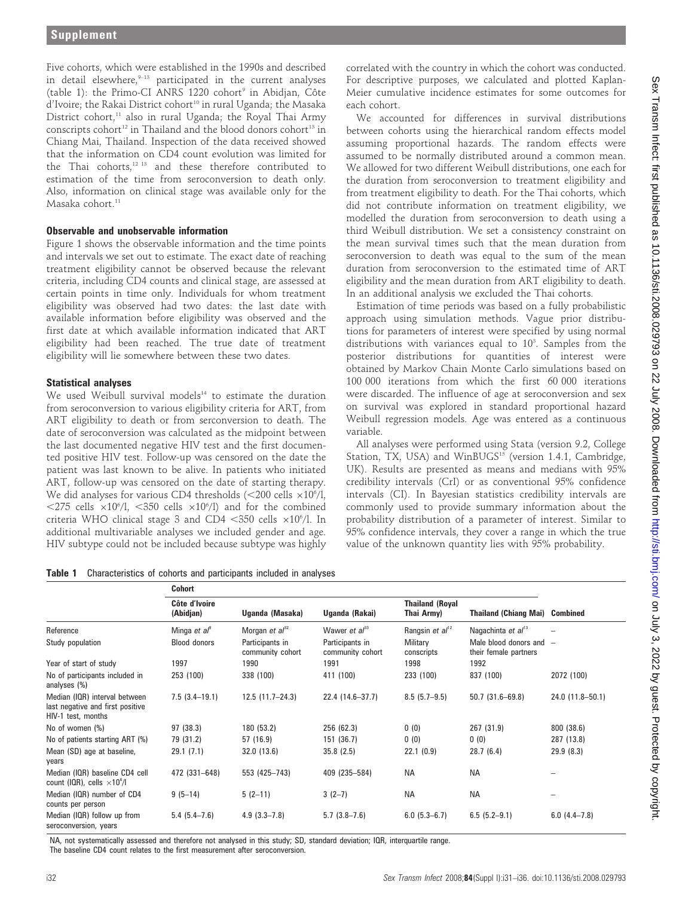Five cohorts, which were established in the 1990s and described in detail elsewhere, $9-13$  participated in the current analyses (table 1): the Primo-CI ANRS  $1220$  cohort<sup>9</sup> in Abidjan, Côte d'Ivoire: the Rakai District cohort<sup>10</sup> in rural Uganda: the Masaka District cohort,<sup>11</sup> also in rural Uganda; the Royal Thai Army conscripts cohort<sup>12</sup> in Thailand and the blood donors cohort<sup>13</sup> in Chiang Mai, Thailand. Inspection of the data received showed that the information on CD4 count evolution was limited for the Thai cohorts,12 13 and these therefore contributed to estimation of the time from seroconversion to death only. Also, information on clinical stage was available only for the Masaka cohort.<sup>11</sup>

## Observable and unobservable information

Figure 1 shows the observable information and the time points and intervals we set out to estimate. The exact date of reaching treatment eligibility cannot be observed because the relevant criteria, including CD4 counts and clinical stage, are assessed at certain points in time only. Individuals for whom treatment eligibility was observed had two dates: the last date with available information before eligibility was observed and the first date at which available information indicated that ART eligibility had been reached. The true date of treatment eligibility will lie somewhere between these two dates.

## Statistical analyses

We used Weibull survival models<sup>14</sup> to estimate the duration from seroconversion to various eligibility criteria for ART, from ART eligibility to death or from serconversion to death. The date of seroconversion was calculated as the midpoint between the last documented negative HIV test and the first documented positive HIV test. Follow-up was censored on the date the patient was last known to be alive. In patients who initiated ART, follow-up was censored on the date of starting therapy. We did analyses for various CD4 thresholds (<200 cells  $\times 10^{\circ}/l,$  $\langle 275 \text{ cells } \times 10^6/1, \langle 350 \text{ cells } \times 10^6/1 \rangle$  and for the combined criteria WHO clinical stage 3 and CD4  $<$ 350 cells  $\times 10^{\circ}$ /l. In additional multivariable analyses we included gender and age. HIV subtype could not be included because subtype was highly

correlated with the country in which the cohort was conducted. For descriptive purposes, we calculated and plotted Kaplan-Meier cumulative incidence estimates for some outcomes for each cohort.

We accounted for differences in survival distributions between cohorts using the hierarchical random effects model assuming proportional hazards. The random effects were assumed to be normally distributed around a common mean. We allowed for two different Weibull distributions, one each for the duration from seroconversion to treatment eligibility and from treatment eligibility to death. For the Thai cohorts, which did not contribute information on treatment eligibility, we modelled the duration from seroconversion to death using a third Weibull distribution. We set a consistency constraint on the mean survival times such that the mean duration from seroconversion to death was equal to the sum of the mean duration from seroconversion to the estimated time of ART eligibility and the mean duration from ART eligibility to death. In an additional analysis we excluded the Thai cohorts.

Estimation of time periods was based on a fully probabilistic approach using simulation methods. Vague prior distributions for parameters of interest were specified by using normal distributions with variances equal to  $10<sup>3</sup>$ . Samples from the posterior distributions for quantities of interest were obtained by Markov Chain Monte Carlo simulations based on 100 000 iterations from which the first 60 000 iterations were discarded. The influence of age at seroconversion and sex on survival was explored in standard proportional hazard Weibull regression models. Age was entered as a continuous variable.

All analyses were performed using Stata (version 9.2, College Station, TX, USA) and WinBUGS<sup>15</sup> (version 1.4.1, Cambridge, UK). Results are presented as means and medians with 95% credibility intervals (CrI) or as conventional 95% confidence intervals (CI). In Bayesian statistics credibility intervals are commonly used to provide summary information about the probability distribution of a parameter of interest. Similar to 95% confidence intervals, they cover a range in which the true value of the unknown quantity lies with 95% probability.

Table 1 Characteristics of cohorts and participants included in analyses

|                                                                                         | <b>Cohort</b>              |                                     |                                     |                                      |                                                    |                  |
|-----------------------------------------------------------------------------------------|----------------------------|-------------------------------------|-------------------------------------|--------------------------------------|----------------------------------------------------|------------------|
|                                                                                         | Côte d'Ivoire<br>(Abidjan) | Uganda (Masaka)                     | Uganda (Rakai)                      | <b>Thailand (Royal</b><br>Thai Army) | <b>Thailand (Chiang Mai) Combined</b>              |                  |
| Reference                                                                               | Minga et al <sup>9</sup>   | Morgan <i>et al</i> <sup>32</sup>   | Wawer et $a^{33}$                   | Rangsin <i>et al</i> <sup>12</sup>   | Nagachinta et al <sup>13</sup>                     |                  |
| Study population                                                                        | <b>Blood donors</b>        | Participants in<br>community cohort | Participants in<br>community cohort | Military<br>conscripts               | Male blood donors and $-$<br>their female partners |                  |
| Year of start of study                                                                  | 1997                       | 1990                                | 1991                                | 1998                                 | 1992                                               |                  |
| No of participants included in<br>analyses $(\%)$                                       | 253 (100)                  | 338 (100)                           | 411 (100)                           | 233 (100)                            | 837 (100)                                          | 2072 (100)       |
| Median (IQR) interval between<br>last negative and first positive<br>HIV-1 test, months | $7.5(3.4-19.1)$            | $12.5(11.7-24.3)$                   | 22.4 (14.6-37.7)                    | $8.5(5.7-9.5)$                       | $50.7(31.6 - 69.8)$                                | 24.0 (11.8-50.1) |
| No of women (%)                                                                         | 97 (38.3)                  | 180 (53.2)                          | 256 (62.3)                          | 0(0)                                 | 267 (31.9)                                         | 800 (38.6)       |
| No of patients starting ART (%)                                                         | 79 (31.2)                  | 57 (16.9)                           | 151 (36.7)                          | 0(0)                                 | 0(0)                                               | 287 (13.8)       |
| Mean (SD) age at baseline,<br>years                                                     | 29.1(7.1)                  | 32.0 (13.6)                         | 35.8(2.5)                           | 22.1(0.9)                            | 28.7(6.4)                                          | 29.9(8.3)        |
| Median (IQR) baseline CD4 cell<br>count (IQR), cells $\times 10^{6}/I$                  | 472 (331-648)              | 553 (425-743)                       | 409 (235-584)                       | <b>NA</b>                            | <b>NA</b>                                          |                  |
| Median (IQR) number of CD4<br>counts per person                                         | $9(5-14)$                  | $5(2-11)$                           | $3(2-7)$                            | <b>NA</b>                            | <b>NA</b>                                          |                  |
| Median (IQR) follow up from<br>seroconversion, years                                    | $5.4(5.4-7.6)$             | $4.9(3.3 - 7.8)$                    | $5.7(3.8-7.6)$                      | $6.0$ (5.3-6.7)                      | $6.5(5.2-9.1)$                                     | $6.0(4.4-7.8)$   |

NA, not systematically assessed and therefore not analysed in this study; SD, standard deviation; IQR, interquartile range.

The baseline CD4 count relates to the first measurement after seroconversion.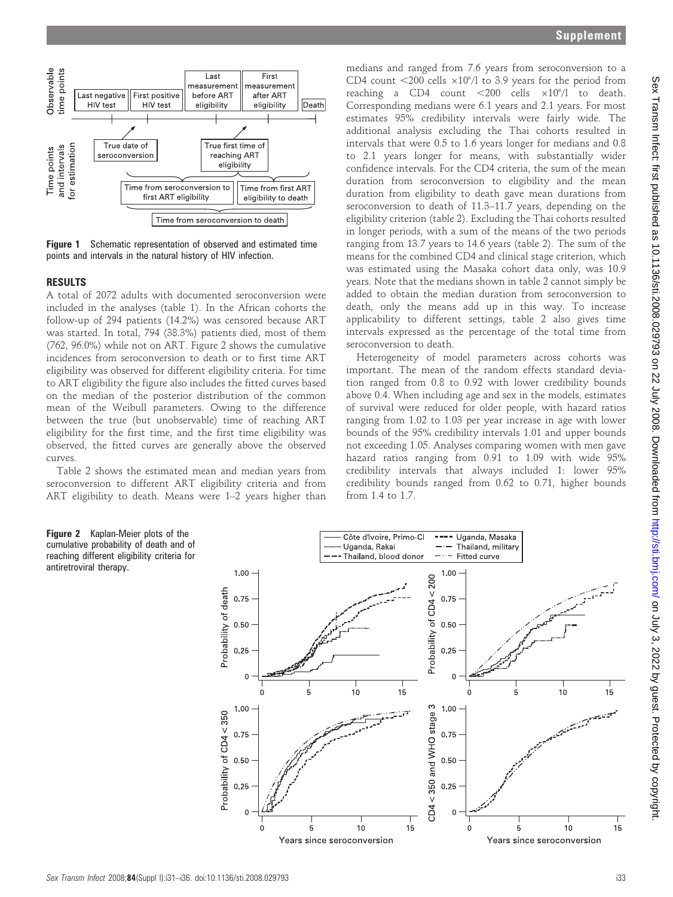

**Figure 1** Schematic representation of observed and estimated time points and intervals in the natural history of HIV infection.

## RESULTS

A total of 2072 adults with documented seroconversion were included in the analyses (table 1). In the African cohorts the follow-up of 294 patients (14.2%) was censored because ART was started. In total, 794 (38.3%) patients died, most of them (762, 96.0%) while not on ART. Figure 2 shows the cumulative incidences from seroconversion to death or to first time ART eligibility was observed for different eligibility criteria. For time to ART eligibility the figure also includes the fitted curves based on the median of the posterior distribution of the common mean of the Weibull parameters. Owing to the difference between the true (but unobservable) time of reaching ART eligibility for the first time, and the first time eligibility was observed, the fitted curves are generally above the observed curves.

Table 2 shows the estimated mean and median years from seroconversion to different ART eligibility criteria and from ART eligibility to death. Means were 1–2 years higher than

1.00

0.75

 $0.50$ 

 $0.25$ 

 $\Omega$ 

1.00

0.75

0.50

 $0.25$ 

 $\Omega$ 

 $\Omega$ 

5

Probability of death

Probability of CD4 < 350

Figure 2 Kaplan-Meier plots of the cumulative probability of death and of reaching different eligibility criteria for

antiretroviral therapy.

medians and ranged from 7.6 years from seroconversion to a CD4 count  $\langle 200 \text{ cells } \times 10^6/1$  to 3.9 years for the period from reaching a CD4 count  $\langle 200 \text{ cells } \times 10^6/1 \text{ to death.}$ Corresponding medians were 6.1 years and 2.1 years. For most estimates 95% credibility intervals were fairly wide. The additional analysis excluding the Thai cohorts resulted in intervals that were 0.5 to 1.6 years longer for medians and 0.8 to 2.1 years longer for means, with substantially wider confidence intervals. For the CD4 criteria, the sum of the mean duration from seroconversion to eligibility and the mean duration from eligibility to death gave mean durations from seroconversion to death of 11.3–11.7 years, depending on the eligibility criterion (table 2). Excluding the Thai cohorts resulted in longer periods, with a sum of the means of the two periods ranging from 13.7 years to 14.6 years (table 2). The sum of the means for the combined CD4 and clinical stage criterion, which was estimated using the Masaka cohort data only, was 10.9 years. Note that the medians shown in table 2 cannot simply be added to obtain the median duration from seroconversion to death, only the means add up in this way. To increase applicability to different settings, table 2 also gives time intervals expressed as the percentage of the total time from seroconversion to death.

Heterogeneity of model parameters across cohorts was important. The mean of the random effects standard deviation ranged from 0.8 to 0.92 with lower credibility bounds above 0.4. When including age and sex in the models, estimates of survival were reduced for older people, with hazard ratios ranging from 1.02 to 1.03 per year increase in age with lower bounds of the 95% credibility intervals 1.01 and upper bounds not exceeding 1.05. Analyses comparing women with men gave hazard ratios ranging from 0.91 to 1.09 with wide 95% credibility intervals that always included 1: lower 95% credibility bounds ranged from 0.62 to 0.71, higher bounds from 1.4 to 1.7.

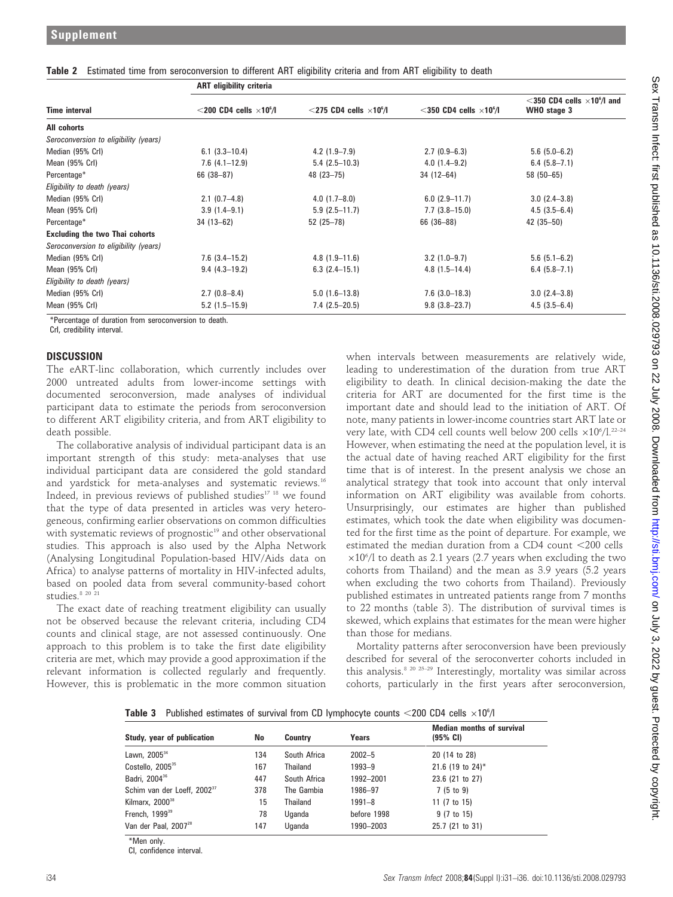|                                       | <b>ART eligibility criteria</b>             |                                               |                                               |                                                                |  |
|---------------------------------------|---------------------------------------------|-----------------------------------------------|-----------------------------------------------|----------------------------------------------------------------|--|
| <b>Time interval</b>                  | $<$ 200 CD4 cells $\times$ 10 $^{\circ}/$ l | $<$ 275 CD4 cells $\times$ 10 <sup>6</sup> /l | $<$ 350 CD4 cells $\times$ 10 <sup>6</sup> /l | $<$ 350 CD4 cells $\times$ 10 $^{\circ}$ /l and<br>WHO stage 3 |  |
| All cohorts                           |                                             |                                               |                                               |                                                                |  |
| Seroconversion to eligibility (years) |                                             |                                               |                                               |                                                                |  |
| Median (95% Crl)                      | $6.1(3.3-10.4)$                             | $4.2(1.9-7.9)$                                | $2.7(0.9-6.3)$                                | $5.6$ (5.0-6.2)                                                |  |
| Mean (95% Crl)                        | $7.6(4.1-12.9)$                             | $5.4(2.5-10.3)$                               | $4.0(1.4-9.2)$                                | $6.4(5.8-7.1)$                                                 |  |
| Percentage*                           | $66(38-87)$                                 | 48 (23-75)                                    | $34(12-64)$                                   | $58(50-65)$                                                    |  |
| Eligibility to death (years)          |                                             |                                               |                                               |                                                                |  |
| Median (95% Crl)                      | $2.1(0.7-4.8)$                              | $4.0(1.7-8.0)$                                | $6.0(2.9-11.7)$                               | $3.0(2.4-3.8)$                                                 |  |
| Mean (95% Crl)                        | $3.9(1.4-9.1)$                              | $5.9(2.5-11.7)$                               | $7.7(3.8-15.0)$                               | $4.5(3.5-6.4)$                                                 |  |
| Percentage*                           | $34(13-62)$                                 | $52(25-78)$                                   | 66 (36-88)                                    | $42(35-50)$                                                    |  |
| <b>Excluding the two Thai cohorts</b> |                                             |                                               |                                               |                                                                |  |
| Seroconversion to eligibility (years) |                                             |                                               |                                               |                                                                |  |
| Median (95% Crl)                      | $7.6$ $(3.4-15.2)$                          | $4.8(1.9-11.6)$                               | $3.2$ (1.0-9.7)                               | $5.6$ (5.1-6.2)                                                |  |
| Mean (95% Crl)                        | $9.4(4.3-19.2)$                             | $6.3(2.4-15.1)$                               | $4.8(1.5-14.4)$                               | $6.4(5.8-7.1)$                                                 |  |
| Eligibility to death (years)          |                                             |                                               |                                               |                                                                |  |
| Median (95% Crl)                      | $2.7(0.8-8.4)$                              | $5.0(1.6-13.8)$                               | $7.6$ $(3.0-18.3)$                            | $3.0(2.4-3.8)$                                                 |  |
| Mean (95% Crl)                        | $5.2(1.5-15.9)$                             | $7.4(2.5-20.5)$                               | $9.8(3.8 - 23.7)$                             | $4.5(3.5-6.4)$                                                 |  |

## Table 2 Estimated time from seroconversion to different ART eligibility criteria and from ART eligibility to death

\*Percentage of duration from seroconversion to death.

CrI, credibility interval.

## **DISCUSSION**

The eART-linc collaboration, which currently includes over 2000 untreated adults from lower-income settings with documented seroconversion, made analyses of individual participant data to estimate the periods from seroconversion to different ART eligibility criteria, and from ART eligibility to death possible.

The collaborative analysis of individual participant data is an important strength of this study: meta-analyses that use individual participant data are considered the gold standard and yardstick for meta-analyses and systematic reviews.<sup>16</sup> Indeed, in previous reviews of published studies<sup>17</sup> <sup>18</sup> we found that the type of data presented in articles was very heterogeneous, confirming earlier observations on common difficulties with systematic reviews of prognostic<sup>19</sup> and other observational studies. This approach is also used by the Alpha Network (Analysing Longitudinal Population-based HIV/Aids data on Africa) to analyse patterns of mortality in HIV-infected adults, based on pooled data from several community-based cohort studies.<sup>8 20 21</sup>

The exact date of reaching treatment eligibility can usually not be observed because the relevant criteria, including CD4 counts and clinical stage, are not assessed continuously. One approach to this problem is to take the first date eligibility criteria are met, which may provide a good approximation if the relevant information is collected regularly and frequently. However, this is problematic in the more common situation

when intervals between measurements are relatively wide, leading to underestimation of the duration from true ART eligibility to death. In clinical decision-making the date the criteria for ART are documented for the first time is the important date and should lead to the initiation of ART. Of note, many patients in lower-income countries start ART late or very late, with CD4 cell counts well below 200 cells  $\times 10^{6}/l^{22-24}$ However, when estimating the need at the population level, it is the actual date of having reached ART eligibility for the first time that is of interest. In the present analysis we chose an analytical strategy that took into account that only interval information on ART eligibility was available from cohorts. Unsurprisingly, our estimates are higher than published estimates, which took the date when eligibility was documented for the first time as the point of departure. For example, we estimated the median duration from a CD4 count  $<$ 200 cells  $\times 10^{6}/$ l to death as 2.1 years (2.7 years when excluding the two cohorts from Thailand) and the mean as 3.9 years (5.2 years when excluding the two cohorts from Thailand). Previously published estimates in untreated patients range from 7 months to 22 months (table 3). The distribution of survival times is skewed, which explains that estimates for the mean were higher than those for medians.

Mortality patterns after seroconversion have been previously described for several of the seroconverter cohorts included in this analysis.<sup>8 20 25-29</sup> Interestingly, mortality was similar across cohorts, particularly in the first years after seroconversion,

| <b>Table 3</b> Published estimates of survival from CD lymphocyte counts $\langle 200 \text{ CD4 cells } \times 10^6 / l \rangle$ |  |  |
|-----------------------------------------------------------------------------------------------------------------------------------|--|--|
|-----------------------------------------------------------------------------------------------------------------------------------|--|--|

| Study, year of publication              | No  | <b>Country</b> | Years       | <b>Median months of survival</b><br>$(95% \; \text{Cl})$ |
|-----------------------------------------|-----|----------------|-------------|----------------------------------------------------------|
| Lawn, 2005 <sup>34</sup>                | 134 | South Africa   | $2002 - 5$  | 20 (14 to 28)                                            |
| Costello, 2005 <sup>35</sup>            | 167 | Thailand       | 1993-9      | 21.6 (19 to 24)*                                         |
| Badri, 2004 <sup>36</sup>               | 447 | South Africa   | 1992-2001   | 23.6 (21 to 27)                                          |
| Schim van der Loeff, 2002 <sup>37</sup> | 378 | The Gambia     | 1986-97     | $7(5 \text{ to } 9)$                                     |
| Kilmarx, 2000 <sup>38</sup>             | 15  | Thailand       | $1991 - 8$  | 11 (7 to 15)                                             |
| French, 1999 <sup>39</sup>              | 78  | Uganda         | before 1998 | $9(7 \text{ to } 15)$                                    |
| Van der Paal, 2007 <sup>28</sup>        | 147 | Uganda         | 1990-2003   | 25.7 (21 to 31)                                          |

\*Men only.

CI, confidence interval.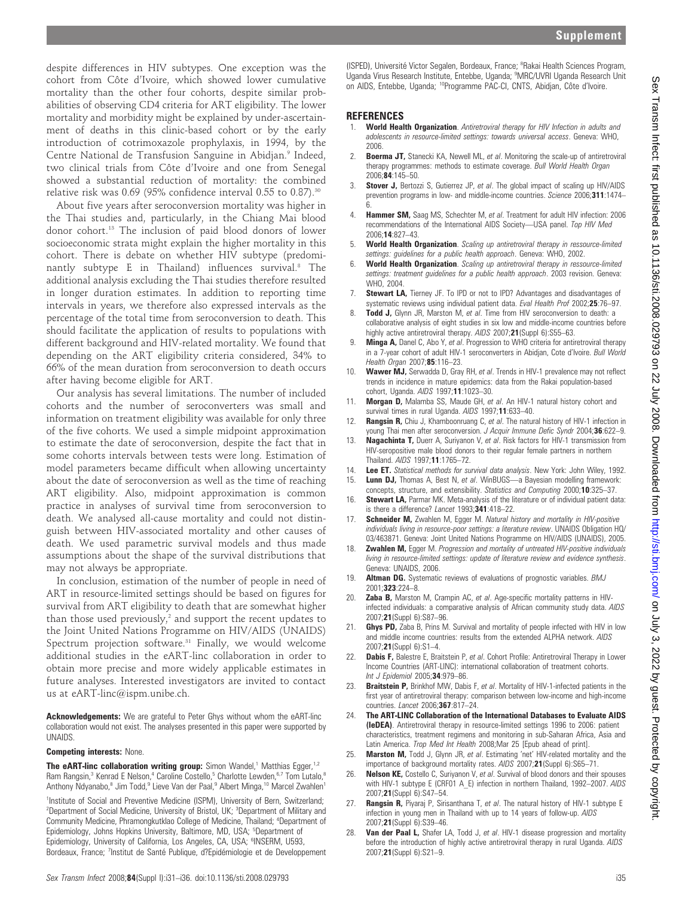despite differences in HIV subtypes. One exception was the cohort from Côte d'Ivoire, which showed lower cumulative mortality than the other four cohorts, despite similar probabilities of observing CD4 criteria for ART eligibility. The lower mortality and morbidity might be explained by under-ascertainment of deaths in this clinic-based cohort or by the early introduction of cotrimoxazole prophylaxis, in 1994, by the Centre National de Transfusion Sanguine in Abidjan.<sup>9</sup> Indeed, two clinical trials from Côte d'Ivoire and one from Senegal showed a substantial reduction of mortality: the combined relative risk was  $0.69$  (95% confidence interval  $0.55$  to  $0.87$ ).<sup>30</sup>

About five years after seroconversion mortality was higher in the Thai studies and, particularly, in the Chiang Mai blood donor cohort.13 The inclusion of paid blood donors of lower socioeconomic strata might explain the higher mortality in this cohort. There is debate on whether HIV subtype (predominantly subtype E in Thailand) influences survival.<sup>8</sup> The additional analysis excluding the Thai studies therefore resulted in longer duration estimates. In addition to reporting time intervals in years, we therefore also expressed intervals as the percentage of the total time from seroconversion to death. This should facilitate the application of results to populations with different background and HIV-related mortality. We found that depending on the ART eligibility criteria considered, 34% to 66% of the mean duration from seroconversion to death occurs after having become eligible for ART.

Our analysis has several limitations. The number of included cohorts and the number of seroconverters was small and information on treatment eligibility was available for only three of the five cohorts. We used a simple midpoint approximation to estimate the date of seroconversion, despite the fact that in some cohorts intervals between tests were long. Estimation of model parameters became difficult when allowing uncertainty about the date of seroconversion as well as the time of reaching ART eligibility. Also, midpoint approximation is common practice in analyses of survival time from seroconversion to death. We analysed all-cause mortality and could not distinguish between HIV-associated mortality and other causes of death. We used parametric survival models and thus made assumptions about the shape of the survival distributions that may not always be appropriate.

In conclusion, estimation of the number of people in need of ART in resource-limited settings should be based on figures for survival from ART eligibility to death that are somewhat higher than those used previously, $2$  and support the recent updates to the Joint United Nations Programme on HIV/AIDS (UNAIDS) Spectrum projection software.<sup>31</sup> Finally, we would welcome additional studies in the eART-linc collaboration in order to obtain more precise and more widely applicable estimates in future analyses. Interested investigators are invited to contact us at eART-linc@ispm.unibe.ch.

Acknowledgements: We are grateful to Peter Ghys without whom the eART-linc collaboration would not exist. The analyses presented in this paper were supported by UNAIDS.

### Competing interests: None.

The eART-linc collaboration writing group: Simon Wandel,<sup>1</sup> Matthias Egger,<sup>1,2</sup> Ram Rangsin,<sup>3</sup> Kenrad E Nelson,<sup>4</sup> Caroline Costello,<sup>5</sup> Charlotte Lewden,<sup>6,7</sup> Tom Lutalo,<sup>8</sup> Anthony Ndyanabo,<sup>8</sup> Jim Todd,<sup>9</sup> Lieve Van der Paal,<sup>9</sup> Albert Minga,<sup>10</sup> Marcel Zwahlen<sup>1</sup>

<sup>1</sup>Institute of Social and Preventive Medicine (ISPM), University of Bern, Switzerland; <sup>2</sup>Department of Social Medicine, University of Bristol, UK; <sup>3</sup>Department of Military and Community Medicine, Phramongkutklao College of Medicine, Thailand; <sup>4</sup>Department of Epidemiology, Johns Hopkins University, Baltimore, MD, USA; <sup>5</sup>Department of Epidemiology, University of California, Los Angeles, CA, USA; <sup>6</sup>INSERM, U593, Bordeaux, France; <sup>7</sup>Institut de Santé Publique, d?Epidémiologie et de Developpement

(ISPED), Université Victor Segalen, Bordeaux, France; <sup>8</sup>Rakai Health Sciences Program, Uganda Virus Research Institute, Entebbe, Uganda; <sup>9</sup>MRC/UVRI Uganda Research Unit on AIDS, Entebbe, Uganda; <sup>10</sup>Programme PAC-CI, CNTS, Abidjan, Côte d'Ivoire.

#### REFERENCES

- **World Health Organization**, Antiretroviral therapy for HIV Infection in adults and adolescents in resource-limited settings: towards universal access. Geneva: WHO, 2006.
- 2. **Boerma JT,** Stanecki KA, Newell ML, et al. Monitoring the scale-up of antiretroviral therapy programmes: methods to estimate coverage. Bull World Health Organ 2006;84:145–50.
- 3. **Stover J,** Bertozzi S, Gutierrez JP, et al. The global impact of scaling up HIV/AIDS prevention programs in low- and middle-income countries. Science 2006;311:1474– 6.
- 4. **Hammer SM,** Saag MS, Schechter M, et al. Treatment for adult HIV infection: 2006 recommendations of the International AIDS Society—USA panel. Top HIV Med 2006;14:827–43.
- World Health Organization. Scaling up antiretroviral therapy in ressource-limited settings: guidelines for a public health approach. Geneva: WHO, 2002.
- 6. World Health Organization. Scaling up antiretroviral therapy in ressource-limited settings: treatment guidelines for a public health approach. 2003 revision. Geneva: WHO, 2004.
- 7. **Stewart LA,** Tierney JF. To IPD or not to IPD? Advantages and disadvantages of systematic reviews using individual patient data. Eval Health Prof 2002:25:76-97.
- 8. Todd J, Glynn JR, Marston M, et al. Time from HIV seroconversion to death: a collaborative analysis of eight studies in six low and middle-income countries before highly active antiretroviral therapy. AIDS 2007;21 (Suppl 6):S55-63.
- 9. Minga A, Danel C, Abo Y, et al. Progression to WHO criteria for antiretroviral therapy in a 7-year cohort of adult HIV-1 seroconverters in Abidjan, Cote d'Ivoire. Bull World Health Organ 2007;85:116–23.
- 10. Wawer MJ, Serwadda D, Gray RH, et al. Trends in HIV-1 prevalence may not reflect trends in incidence in mature epidemics: data from the Rakai population-based cohort, Uganda. AIDS 1997;11:1023–30.
- 11. **Morgan D,** Malamba SS, Maude GH, et al. An HIV-1 natural history cohort and survival times in rural Uganda. AIDS 1997;11:633-40.
- Rangsin R, Chiu J, Khamboonruang C, et al. The natural history of HIV-1 infection in young Thai men after seroconversion. J Acquir Immune Defic Syndr 2004;36:622-9.
- 13. Nagachinta T, Duerr A, Suriyanon V, et al. Risk factors for HIV-1 transmission from HIV-seropositive male blood donors to their regular female partners in northern Thailand. AIDS 1997;11:1765–72.
- 14. Lee ET. Statistical methods for survival data analysis. New York: John Wiley, 1992. 15. Lunn DJ, Thomas A, Best N, et al. WinBUGS-a Bayesian modelling framework:
- concepts, structure, and extensibility. Statistics and Computing 2000;10:325–37. 16. **Stewart LA**, Parmar MK, Meta-analysis of the literature or of individual patient data: is there a difference? Lancet 1993:341:418-22.
- 17. Schneider M, Zwahlen M, Egger M. Natural history and mortality in HIV-positive individuals living in resource-poor settings: a literature review. UNAIDS Obligation HQ/ 03/463871. Geneva: Joint United Nations Programme on HIV/AIDS (UNAIDS), 2005.
- 18. **Zwahlen M,** Egger M. Progression and mortality of untreated HIV-positive individuals living in resource-limited settings: update of literature review and evidence synthesis. Geneva: UNAIDS, 2006.
- 19. **Altman DG.** Systematic reviews of evaluations of prognostic variables. BMJ 2001;323:224–8.
- 20. **Zaba B,** Marston M, Crampin AC, et al. Age-specific mortality patterns in HIVinfected individuals: a comparative analysis of African community study data. AIDS 2007;21(Suppl 6):S87–96.
- 21. Ghys PD, Zaba B, Prins M. Survival and mortality of people infected with HIV in low and middle income countries: results from the extended ALPHA network. AIDS 2007;21(Suppl 6):S1–4.
- 22. Dabis F, Balestre E, Braitstein P, et al. Cohort Profile: Antiretroviral Therapy in Lower Income Countries (ART-LINC): international collaboration of treatment cohorts. Int J Epidemiol 2005;34:979-86.
- 23. Braitstein P, Brinkhof MW, Dabis F, et al. Mortality of HIV-1-infected patients in the first year of antiretroviral therapy: comparison between low-income and high-income countries. Lancet 2006;367:817–24.
- 24. The ART-LINC Collaboration of the International Databases to Evaluate AIDS (IeDEA). Antiretroviral therapy in resource-limited settings 1996 to 2006: patient characteristics, treatment regimens and monitoring in sub-Saharan Africa, Asia and Latin America. Trop Med Int Health 2008; Mar 25 [Epub ahead of print].
- 25. Marston M, Todd J, Glynn JR, et al. Estimating 'net' HIV-related mortality and the importance of background mortality rates. AIDS 2007;21 (Suppl 6):S65-71.
- 26. **Nelson KE,** Costello C, Suriyanon V, et al. Survival of blood donors and their spouses with HIV-1 subtype E (CRF01 A\_E) infection in northern Thailand, 1992–2007. AIDS 2007;21(Suppl 6):S47–54.
- 27. **Rangsin R,** Piyaraj P, Sirisanthana T, et al. The natural history of HIV-1 subtype E infection in young men in Thailand with up to 14 years of follow-up. AIDS 2007;21(Suppl 6):S39–46.
- 28. Van der Paal L, Shafer LA, Todd J, et al. HIV-1 disease progression and mortality before the introduction of highly active antiretroviral therapy in rural Uganda. AIDS 2007;21(Suppl 6):S21–9.